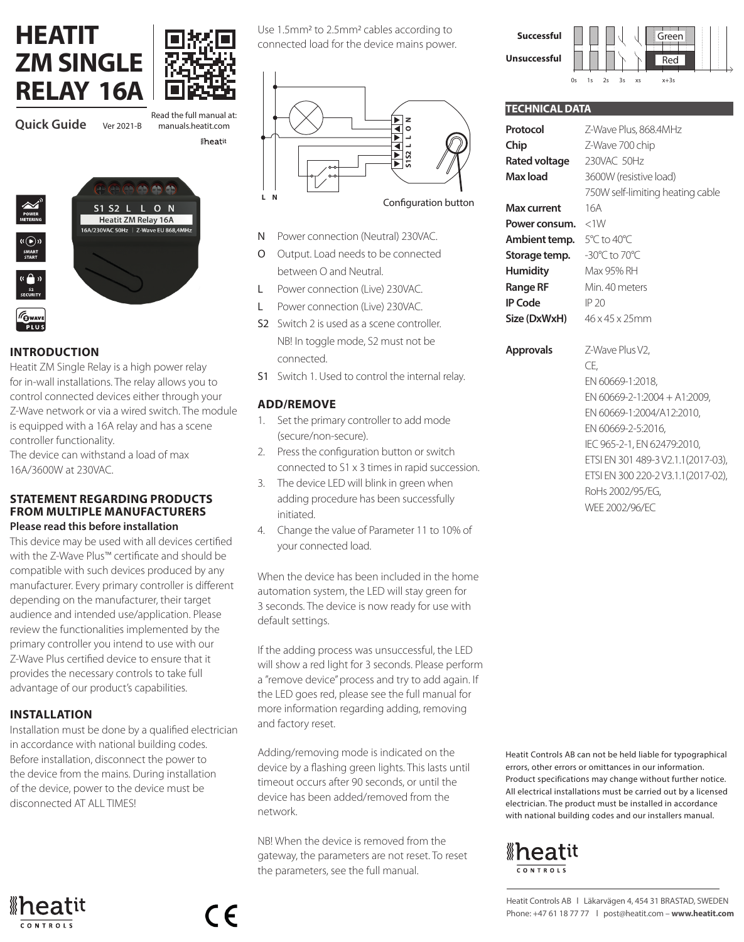# **HEATIT ZM SINGLE**



**Iheati** 

Read the full manual at:



### **INTRODUCTION**

Heatit ZM Single Relay is a high power relay for in-wall installations. The relay allows you to control connected devices either through your Z-Wave network or via a wired switch. The module is equipped with a 16A relay and has a scene controller functionality.

The device can withstand a load of max 16A/3600W at 230VAC.

#### **STATEMENT REGARDING PRODUCTS FROM MULTIPLE MANUFACTURERS Please read this before installation**

This device may be used with all devices certified with the Z-Wave Plus™ certificate and should be compatible with such devices produced by any manufacturer. Every primary controller is different depending on the manufacturer, their target audience and intended use/application. Please review the functionalities implemented by the primary controller you intend to use with our Z-Wave Plus certified device to ensure that it provides the necessary controls to take full advantage of our product's capabilities.

### **INSTALLATION**

Installation must be done by a qualified electrician in accordance with national building codes. Before installation, disconnect the power to the device from the mains. During installation of the device, power to the device must be disconnected AT ALL TIMES!

 $\epsilon$ 



Use 1.5mm2 to 2.5mm2 cables according to connected load for the device mains power.



- N Power connection (Neutral) 230VAC.
- Output. Load needs to be connected between O and Neutral.
- L Power connection (Live) 230VAC.
- L Power connection (Live) 230VAC.
- S2 Switch 2 is used as a scene controller. NB! In toggle mode, S2 must not be connected.
- S1 Switch 1. Used to control the internal relay.

### **ADD/REMOVE**

- 1. Set the primary controller to add mode (secure/non-secure).
- 2. Press the configuration button or switch connected to S1 x 3 times in rapid succession.
- 3. The device LED will blink in green when adding procedure has been successfully initiated.
- 4. Change the value of Parameter 11 to 10% of your connected load.

When the device has been included in the home automation system, the LED will stay green for 3 seconds. The device is now ready for use with default settings.

If the adding process was unsuccessful, the LED will show a red light for 3 seconds. Please perform a "remove device" process and try to add again. If the LED goes red, please see the full manual for more information regarding adding, removing and factory reset.

Adding/removing mode is indicated on the device by a flashing green lights. This lasts until timeout occurs after 90 seconds, or until the device has been added/removed from the network.

NB! When the device is removed from the gateway, the parameters are not reset. To reset the parameters, see the full manual.

**Successful Unsuccessful** Green Red

### **TECHNICAL DATA Protocol** Z-Wave Plus, 868.4MHz **Chip** Z-Wave 700 chip **Rated voltage** 230VAC 50Hz **Max load** 3600W (resistive load) 750W self-limiting heating cable **Max current** 16A **Power consum.** <1W **Ambient temp.** 5°C to 40°C **Storage temp.** -30°C to 70°C **Humidity** Max 95% RH

**Range RF** Min. 40 meters **IP Code** IP 20 **Size (DxWxH)** 46 x 45 x 25mm

**Approvals** Z-Wave Plus V2,  $\subset \mathsf{F}$ EN 60669-1:2018, EN 60669-2-1:2004 + A1:2009, EN 60669-1:2004/A12:2010, EN 60669-2-5:2016, IEC 965-2-1, EN 62479:2010, ETSI EN 301 489-3 V2.1.1(2017-03), ETSI EN 300 220-2 V3.1.1(2017-02), RoHs 2002/95/EG, WEE 2002/96/EC

Heatit Controls AB can not be held liable for typographical errors, other errors or omittances in our information. Product specifications may change without further notice. All electrical installations must be carried out by a licensed electrician. The product must be installed in accordance with national building codes and our installers manual.

# **®heatit**

Heatit Controls AB l Läkarvägen 4, 454 31 BRASTAD, SWEDEN Phone: +47 61 18 77 77 l post@heatit.com – **www.heatit.com**